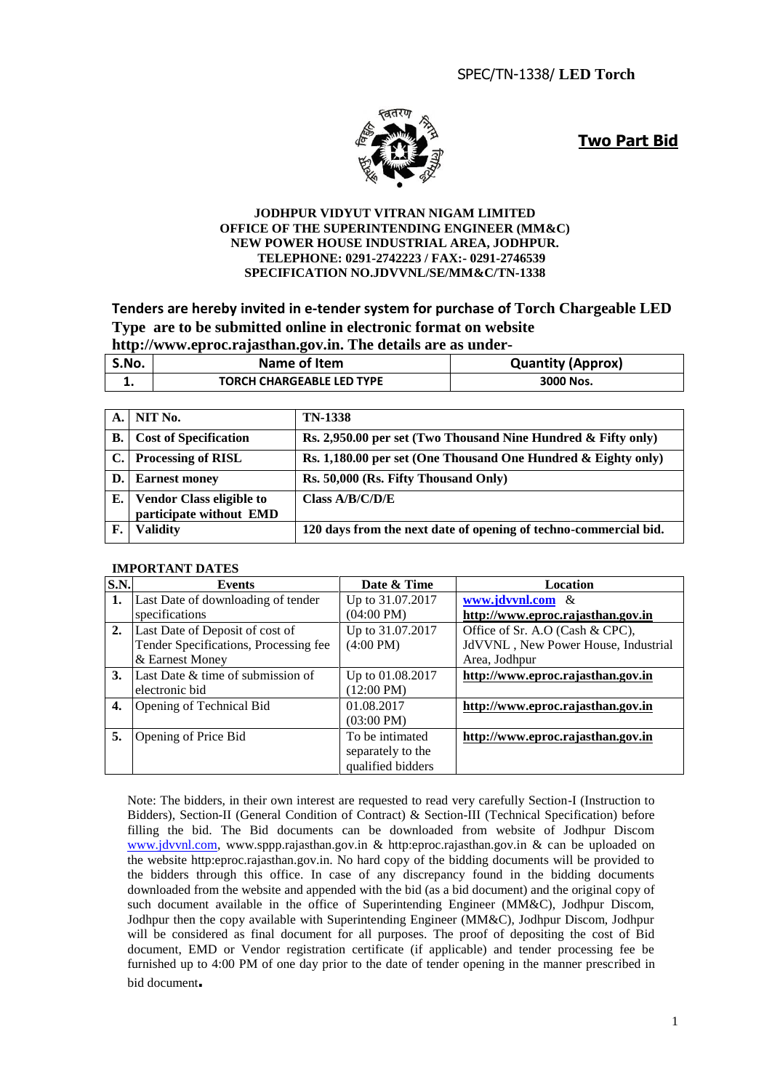

**Two Part Bid**

#### **JODHPUR VIDYUT VITRAN NIGAM LIMITED OFFICE OF THE SUPERINTENDING ENGINEER (MM&C) NEW POWER HOUSE INDUSTRIAL AREA, JODHPUR. TELEPHONE: 0291-2742223 / FAX:- 0291-2746539 SPECIFICATION NO.JDVVNL/SE/MM&C/TN-1338**

#### **Tenders are hereby invited in e-tender system for purchase of Torch Chargeable LED Type are to be submitted online in electronic format on website http://www.eproc.rajasthan.gov.in. The details are as under-**

| S.No. | Name of Item                     | <b>Quantity (Approx)</b> |
|-------|----------------------------------|--------------------------|
|       | <b>TORCH CHARGEABLE LED TYPE</b> | 3000 Nos.                |

| A.1            | NIT No.                                                    | <b>TN-1338</b>                                                   |
|----------------|------------------------------------------------------------|------------------------------------------------------------------|
| В.             | <b>Cost of Specification</b>                               | Rs. 2,950.00 per set (Two Thousand Nine Hundred $\&$ Fifty only) |
|                | C. Processing of RISL                                      | Rs. 1,180.00 per set (One Thousand One Hundred & Eighty only)    |
| $\mathbf{D}$ . | <b>Earnest money</b>                                       | Rs. 50,000 (Rs. Fifty Thousand Only)                             |
| Е.             | <b>Vendor Class eligible to</b><br>participate without EMD | Class $A/B/C/D/E$                                                |
| F.             | <b>Validity</b>                                            | 120 days from the next date of opening of techno-commercial bid. |

#### **IMPORTANT DATES**

| S.N.      | Events                                | Date & Time          | <b>Location</b>                     |
|-----------|---------------------------------------|----------------------|-------------------------------------|
| 1.        | Last Date of downloading of tender    | Up to 31.07.2017     | www.jdvvnl.com &                    |
|           | specifications                        | $(04:00 \text{ PM})$ | http://www.eproc.rajasthan.gov.in   |
| 2.        | Last Date of Deposit of cost of       | Up to 31.07.2017     | Office of Sr. A.O (Cash & CPC),     |
|           | Tender Specifications, Processing fee | $(4:00 \text{ PM})$  | JdVVNL, New Power House, Industrial |
|           | & Earnest Money                       |                      | Area, Jodhpur                       |
| <b>3.</b> | Last Date & time of submission of     | Up to 01.08.2017     | http://www.eproc.rajasthan.gov.in   |
|           | electronic bid                        | $(12:00 \text{ PM})$ |                                     |
| 4.        | Opening of Technical Bid              | 01.08.2017           | http://www.eproc.rajasthan.gov.in   |
|           |                                       | $(03:00 \text{ PM})$ |                                     |
| 5.        | Opening of Price Bid                  | To be intimated      | http://www.eproc.rajasthan.gov.in   |
|           |                                       | separately to the    |                                     |
|           |                                       | qualified bidders    |                                     |

Note: The bidders, in their own interest are requested to read very carefully Section-I (Instruction to Bidders), Section-II (General Condition of Contract) & Section-III (Technical Specification) before filling the bid. The Bid documents can be downloaded from website of Jodhpur Discom [www.jdvvnl.com,](http://www.jdvvnl.com/) www.sppp.rajasthan.gov.in & http:eproc.rajasthan.gov.in & can be uploaded on the website http:eproc.rajasthan.gov.in. No hard copy of the bidding documents will be provided to the bidders through this office. In case of any discrepancy found in the bidding documents downloaded from the website and appended with the bid (as a bid document) and the original copy of such document available in the office of Superintending Engineer (MM&C), Jodhpur Discom, Jodhpur then the copy available with Superintending Engineer (MM&C), Jodhpur Discom, Jodhpur will be considered as final document for all purposes. The proof of depositing the cost of Bid document, EMD or Vendor registration certificate (if applicable) and tender processing fee be furnished up to 4:00 PM of one day prior to the date of tender opening in the manner prescribed in bid document**.**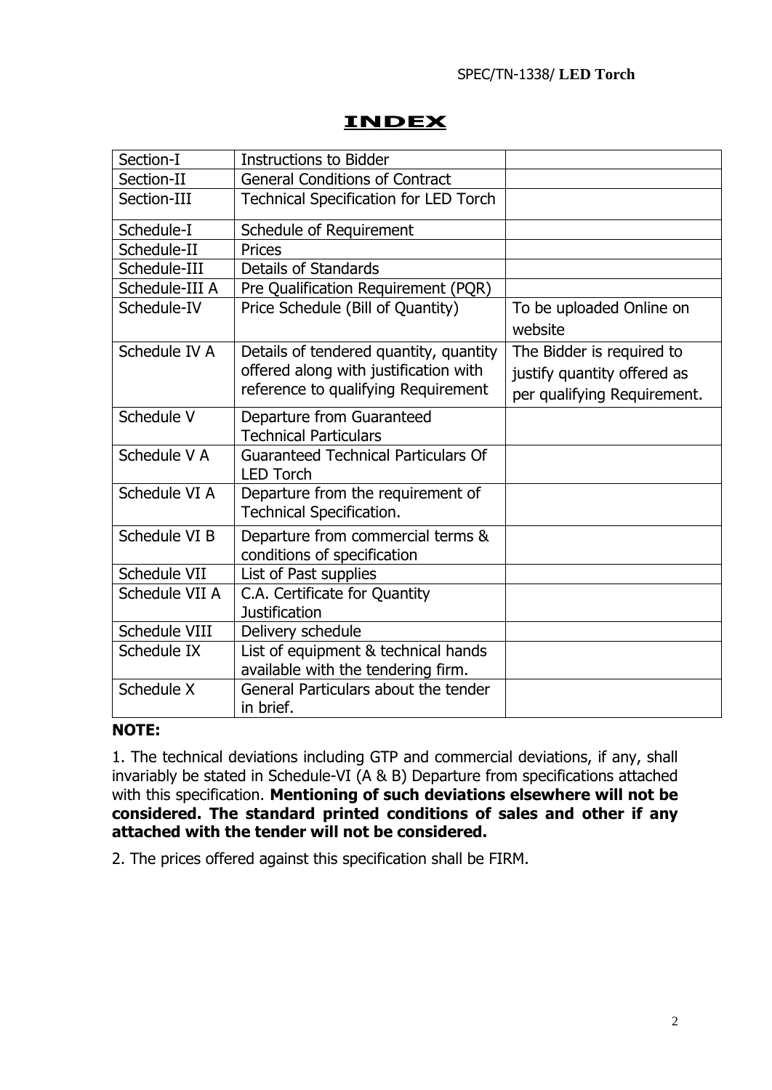# **INDEX**

| Section-I      | <b>Instructions to Bidder</b>                                                                                          |                                                                                         |
|----------------|------------------------------------------------------------------------------------------------------------------------|-----------------------------------------------------------------------------------------|
| Section-II     | <b>General Conditions of Contract</b>                                                                                  |                                                                                         |
| Section-III    | Technical Specification for LED Torch                                                                                  |                                                                                         |
| Schedule-I     | Schedule of Requirement                                                                                                |                                                                                         |
| Schedule-II    | Prices                                                                                                                 |                                                                                         |
| Schedule-III   | <b>Details of Standards</b>                                                                                            |                                                                                         |
| Schedule-III A | Pre Qualification Requirement (PQR)                                                                                    |                                                                                         |
| Schedule-IV    | Price Schedule (Bill of Quantity)                                                                                      | To be uploaded Online on<br>website                                                     |
| Schedule IV A  | Details of tendered quantity, quantity<br>offered along with justification with<br>reference to qualifying Requirement | The Bidder is required to<br>justify quantity offered as<br>per qualifying Requirement. |
| Schedule V     | Departure from Guaranteed<br><b>Technical Particulars</b>                                                              |                                                                                         |
| Schedule V A   | <b>Guaranteed Technical Particulars Of</b><br><b>LED Torch</b>                                                         |                                                                                         |
| Schedule VI A  | Departure from the requirement of<br>Technical Specification.                                                          |                                                                                         |
| Schedule VI B  | Departure from commercial terms &<br>conditions of specification                                                       |                                                                                         |
| Schedule VII   | List of Past supplies                                                                                                  |                                                                                         |
| Schedule VII A | C.A. Certificate for Quantity<br><b>Justification</b>                                                                  |                                                                                         |
| Schedule VIII  | Delivery schedule                                                                                                      |                                                                                         |
| Schedule IX    | List of equipment & technical hands<br>available with the tendering firm.                                              |                                                                                         |
| Schedule X     | General Particulars about the tender<br>in brief.                                                                      |                                                                                         |

# **NOTE:**

1. The technical deviations including GTP and commercial deviations, if any, shall invariably be stated in Schedule-VI (A & B) Departure from specifications attached with this specification. **Mentioning of such deviations elsewhere will not be considered. The standard printed conditions of sales and other if any attached with the tender will not be considered.**

2. The prices offered against this specification shall be FIRM.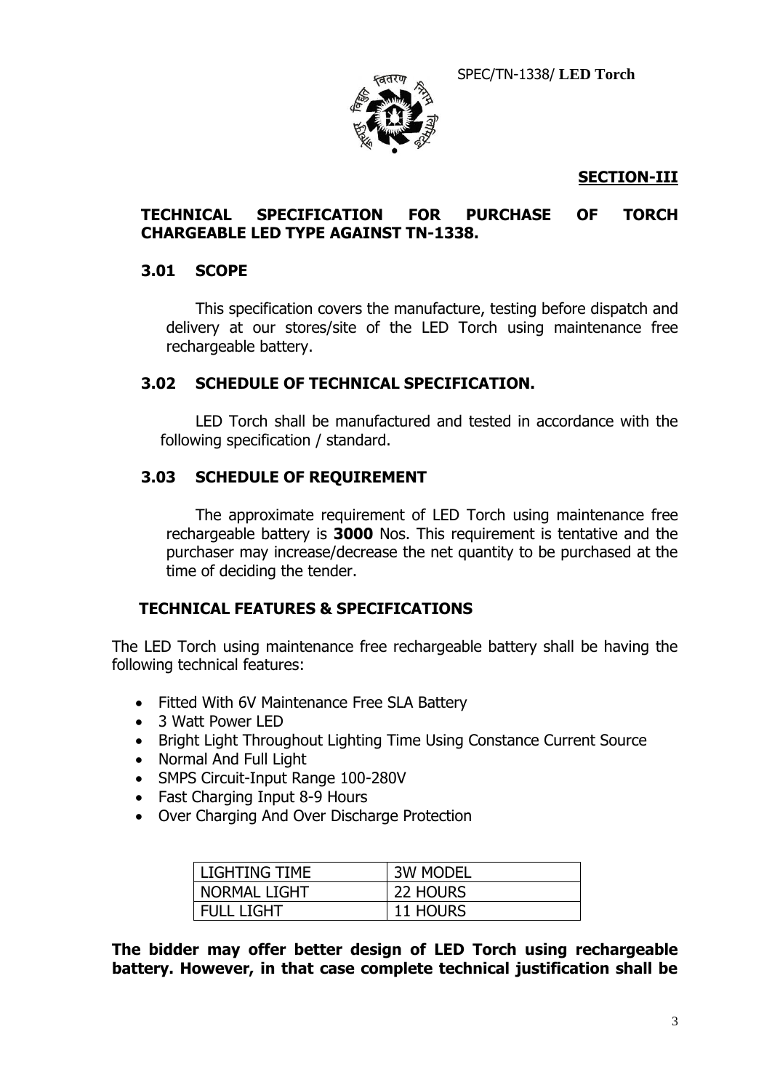SPEC/TN-1338/ **LED Torch**



### **SECTION-III**

#### **TECHNICAL SPECIFICATION FOR PURCHASE OF TORCH CHARGEABLE LED TYPE AGAINST TN-1338.**

#### **3.01 SCOPE**

This specification covers the manufacture, testing before dispatch and delivery at our stores/site of the LED Torch using maintenance free rechargeable battery.

#### **3.02 SCHEDULE OF TECHNICAL SPECIFICATION.**

LED Torch shall be manufactured and tested in accordance with the following specification / standard.

#### **3.03 SCHEDULE OF REQUIREMENT**

The approximate requirement of LED Torch using maintenance free rechargeable battery is **3000** Nos. This requirement is tentative and the purchaser may increase/decrease the net quantity to be purchased at the time of deciding the tender.

#### **TECHNICAL FEATURES & SPECIFICATIONS**

The LED Torch using maintenance free rechargeable battery shall be having the following technical features:

- Fitted With 6V Maintenance Free SLA Battery
- 3 Watt Power LED
- Bright Light Throughout Lighting Time Using Constance Current Source
- Normal And Full Light
- SMPS Circuit-Input Range 100-280V
- Fast Charging Input 8-9 Hours
- Over Charging And Over Discharge Protection

| l LIGHTING TIME     | <b>3W MODEL</b> |
|---------------------|-----------------|
| <b>NORMAL LIGHT</b> | 22 HOURS        |
| <b>FULL LIGHT</b>   | 11 HOURS        |

**The bidder may offer better design of LED Torch using rechargeable battery. However, in that case complete technical justification shall be**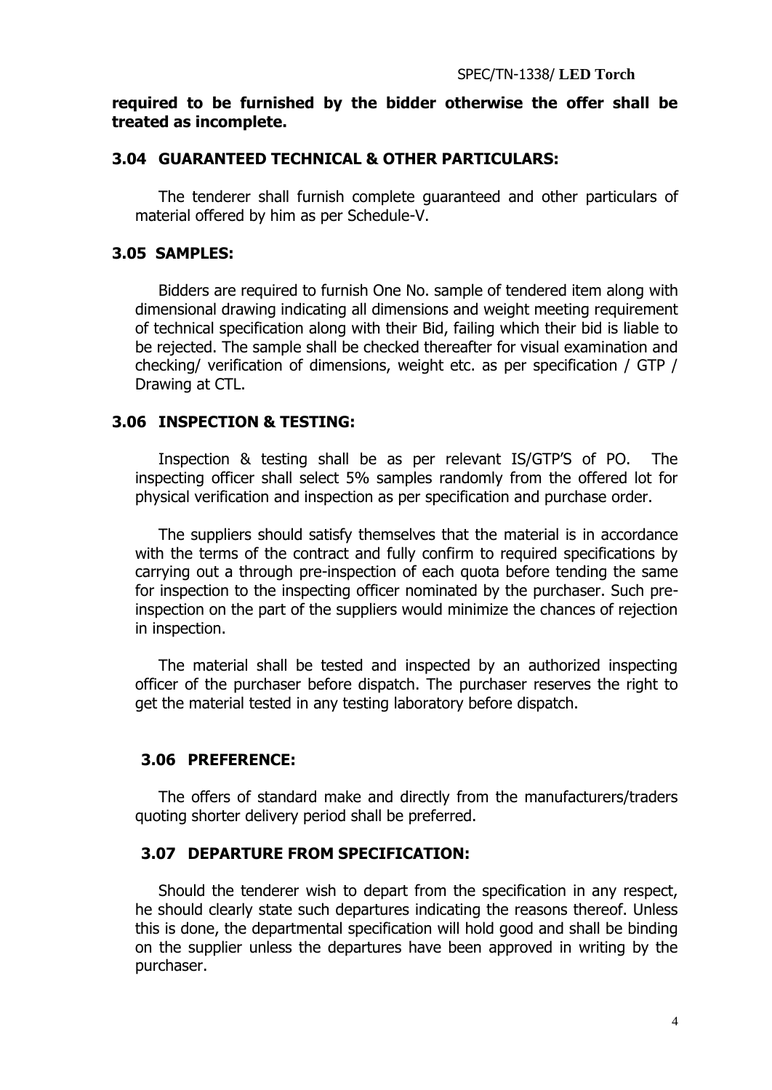#### **required to be furnished by the bidder otherwise the offer shall be treated as incomplete.**

#### **3.04 GUARANTEED TECHNICAL & OTHER PARTICULARS:**

The tenderer shall furnish complete guaranteed and other particulars of material offered by him as per Schedule-V.

#### **3.05 SAMPLES:**

Bidders are required to furnish One No. sample of tendered item along with dimensional drawing indicating all dimensions and weight meeting requirement of technical specification along with their Bid, failing which their bid is liable to be rejected. The sample shall be checked thereafter for visual examination and checking/ verification of dimensions, weight etc. as per specification / GTP / Drawing at CTL.

#### **3.06 INSPECTION & TESTING:**

Inspection & testing shall be as per relevant IS/GTP'S of PO. The inspecting officer shall select 5% samples randomly from the offered lot for physical verification and inspection as per specification and purchase order.

The suppliers should satisfy themselves that the material is in accordance with the terms of the contract and fully confirm to required specifications by carrying out a through pre-inspection of each quota before tending the same for inspection to the inspecting officer nominated by the purchaser. Such preinspection on the part of the suppliers would minimize the chances of rejection in inspection.

The material shall be tested and inspected by an authorized inspecting officer of the purchaser before dispatch. The purchaser reserves the right to get the material tested in any testing laboratory before dispatch.

#### **3.06 PREFERENCE:**

The offers of standard make and directly from the manufacturers/traders quoting shorter delivery period shall be preferred.

#### **3.07 DEPARTURE FROM SPECIFICATION:**

Should the tenderer wish to depart from the specification in any respect, he should clearly state such departures indicating the reasons thereof. Unless this is done, the departmental specification will hold good and shall be binding on the supplier unless the departures have been approved in writing by the purchaser.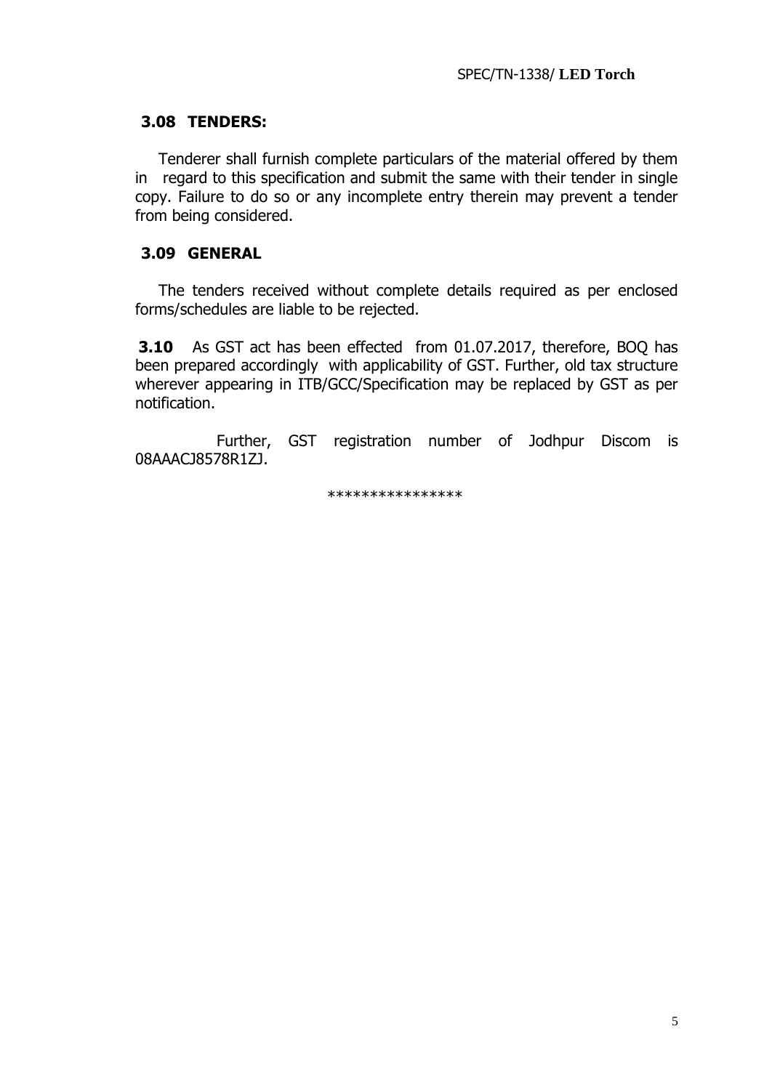#### **3.08 TENDERS:**

Tenderer shall furnish complete particulars of the material offered by them in regard to this specification and submit the same with their tender in single copy. Failure to do so or any incomplete entry therein may prevent a tender from being considered.

### **3.09 GENERAL**

The tenders received without complete details required as per enclosed forms/schedules are liable to be rejected.

 **3.10** As GST act has been effected from 01.07.2017, therefore, BOQ has been prepared accordingly with applicability of GST. Further, old tax structure wherever appearing in ITB/GCC/Specification may be replaced by GST as per notification.

 Further, GST registration number of Jodhpur Discom is 08AAACJ8578R1ZJ.

\*\*\*\*\*\*\*\*\*\*\*\*\*\*\*\*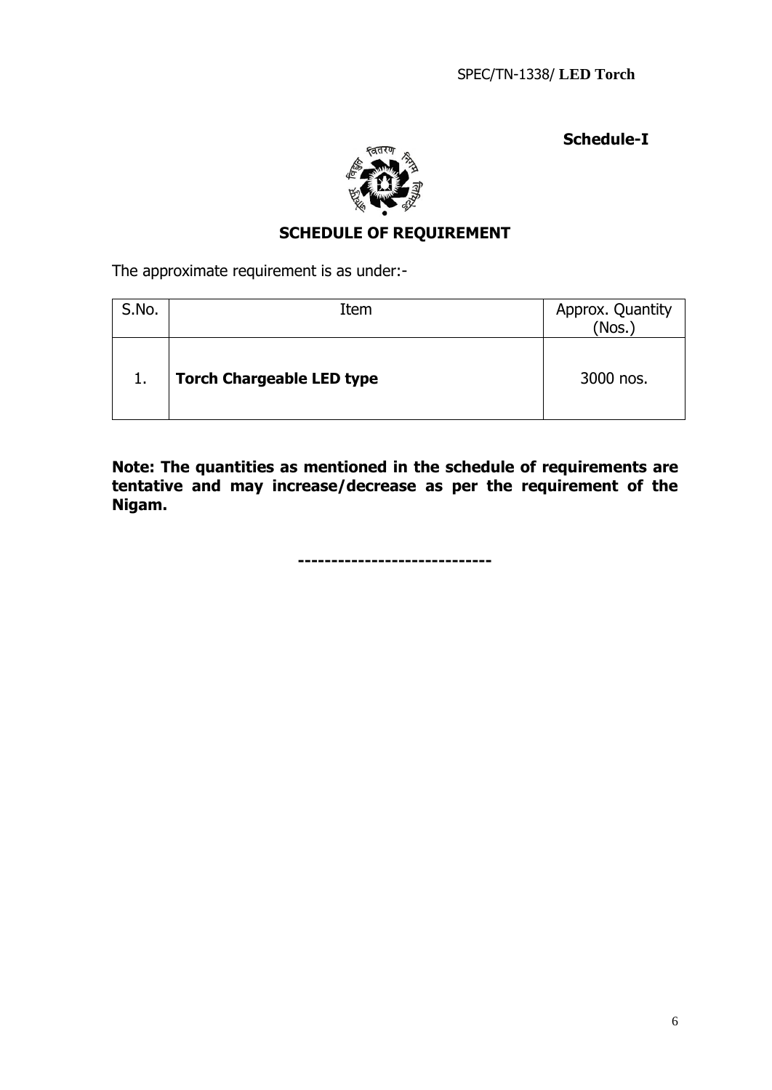**Schedule-I**



# **SCHEDULE OF REQUIREMENT**

The approximate requirement is as under:-

| S.No. | Item                             | Approx. Quantity<br>(Nos.) |
|-------|----------------------------------|----------------------------|
| 1.    | <b>Torch Chargeable LED type</b> | 3000 nos.                  |

**Note: The quantities as mentioned in the schedule of requirements are tentative and may increase/decrease as per the requirement of the Nigam.**

**-----------------------------**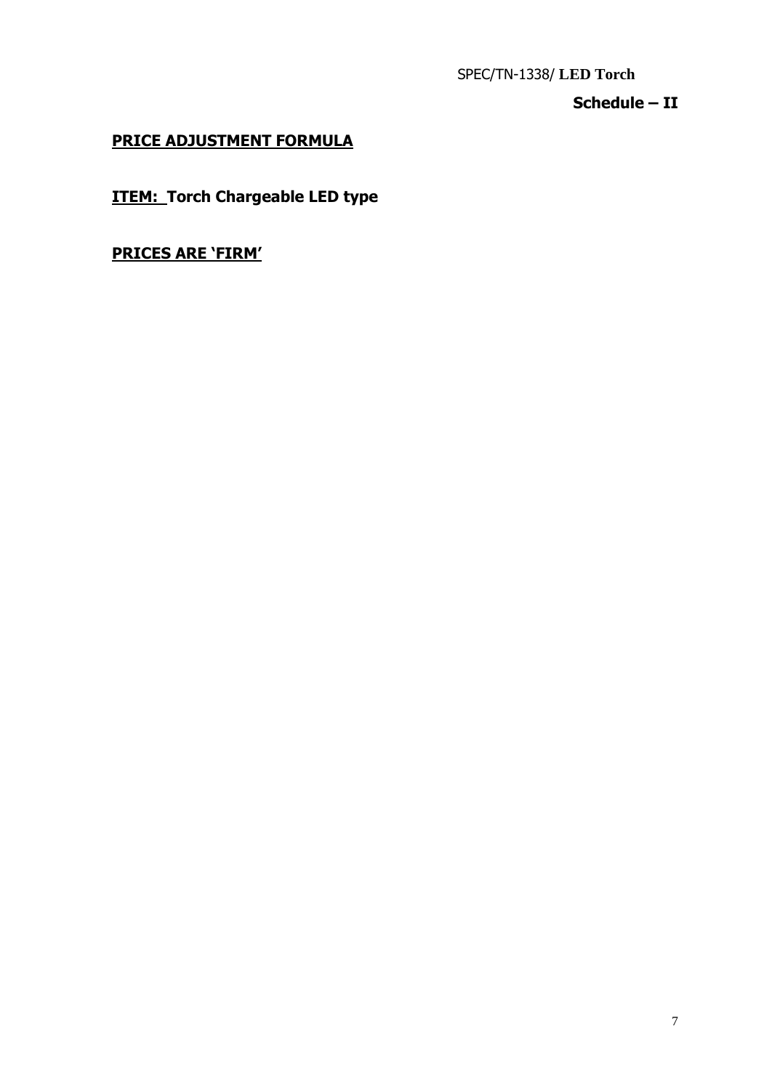SPEC/TN-1338/ **LED Torch**

# **Schedule – II**

# **PRICE ADJUSTMENT FORMULA**

**ITEM: Torch Chargeable LED type**

**PRICES ARE 'FIRM'**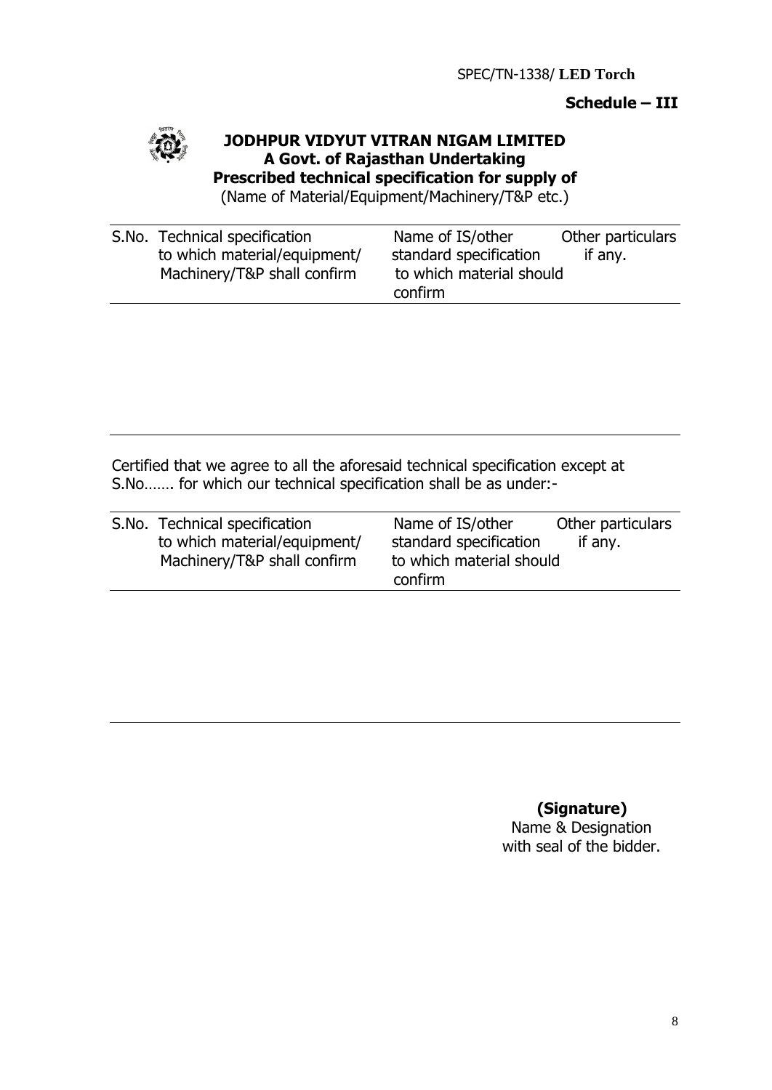### **Schedule – III**



## **JODHPUR VIDYUT VITRAN NIGAM LIMITED A Govt. of Rajasthan Undertaking Prescribed technical specification for supply of**

(Name of Material/Equipment/Machinery/T&P etc.)

| S.No. Technical specification | Name of IS/other         | Other particulars |
|-------------------------------|--------------------------|-------------------|
| to which material/equipment/  | standard specification   | if any.           |
| Machinery/T&P shall confirm   | to which material should |                   |
|                               | confirm                  |                   |

Certified that we agree to all the aforesaid technical specification except at S.No……. for which our technical specification shall be as under:-

| S.No. Technical specification | Name of IS/other                    | Other particulars |
|-------------------------------|-------------------------------------|-------------------|
| to which material/equipment/  | standard specification              | if any.           |
| Machinery/T&P shall confirm   | to which material should<br>confirm |                   |

**(Signature)**

Name & Designation with seal of the bidder.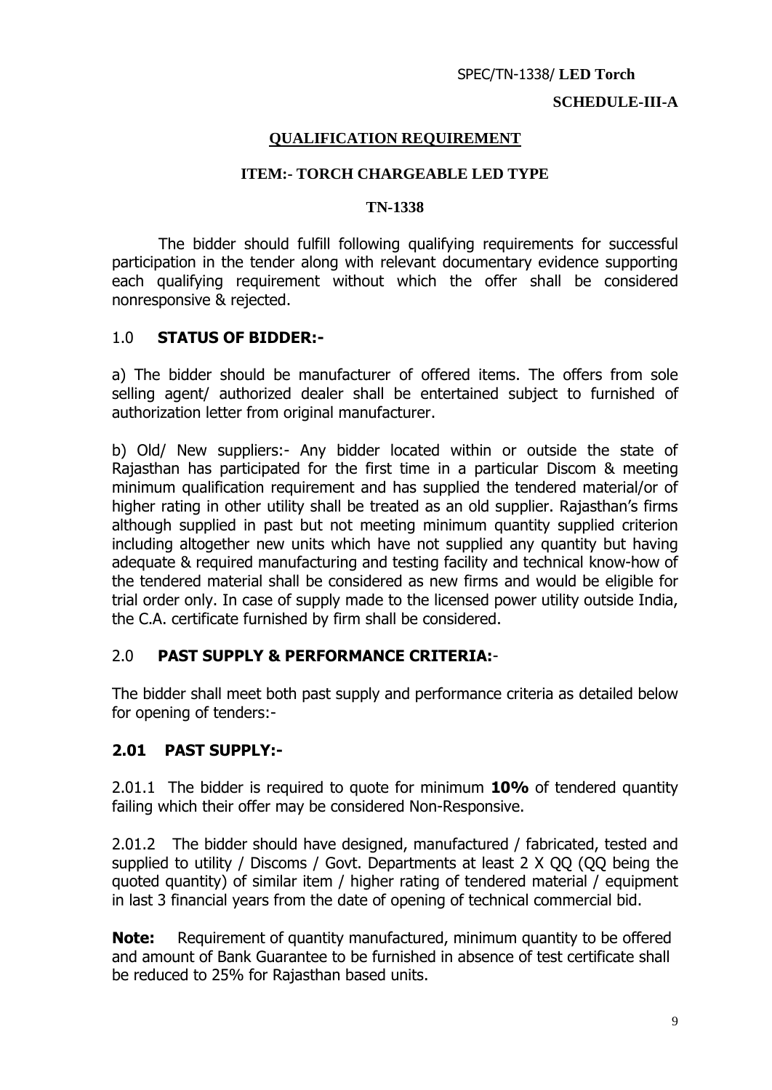#### **SCHEDULE-III-A**

#### **QUALIFICATION REQUIREMENT**

#### **ITEM:- TORCH CHARGEABLE LED TYPE**

#### **TN-1338**

The bidder should fulfill following qualifying requirements for successful participation in the tender along with relevant documentary evidence supporting each qualifying requirement without which the offer shall be considered nonresponsive & rejected.

#### 1.0 **STATUS OF BIDDER:-**

a) The bidder should be manufacturer of offered items. The offers from sole selling agent/ authorized dealer shall be entertained subject to furnished of authorization letter from original manufacturer.

b) Old/ New suppliers:- Any bidder located within or outside the state of Rajasthan has participated for the first time in a particular Discom & meeting minimum qualification requirement and has supplied the tendered material/or of higher rating in other utility shall be treated as an old supplier. Rajasthan's firms although supplied in past but not meeting minimum quantity supplied criterion including altogether new units which have not supplied any quantity but having adequate & required manufacturing and testing facility and technical know-how of the tendered material shall be considered as new firms and would be eligible for trial order only. In case of supply made to the licensed power utility outside India, the C.A. certificate furnished by firm shall be considered.

### 2.0 **PAST SUPPLY & PERFORMANCE CRITERIA:**-

The bidder shall meet both past supply and performance criteria as detailed below for opening of tenders:-

#### **2.01 PAST SUPPLY:-**

2.01.1 The bidder is required to quote for minimum **10%** of tendered quantity failing which their offer may be considered Non-Responsive.

2.01.2 The bidder should have designed, manufactured / fabricated, tested and supplied to utility / Discoms / Govt. Departments at least 2 X QQ (QQ being the quoted quantity) of similar item / higher rating of tendered material / equipment in last 3 financial years from the date of opening of technical commercial bid.

**Note:** Requirement of quantity manufactured, minimum quantity to be offered and amount of Bank Guarantee to be furnished in absence of test certificate shall be reduced to 25% for Rajasthan based units.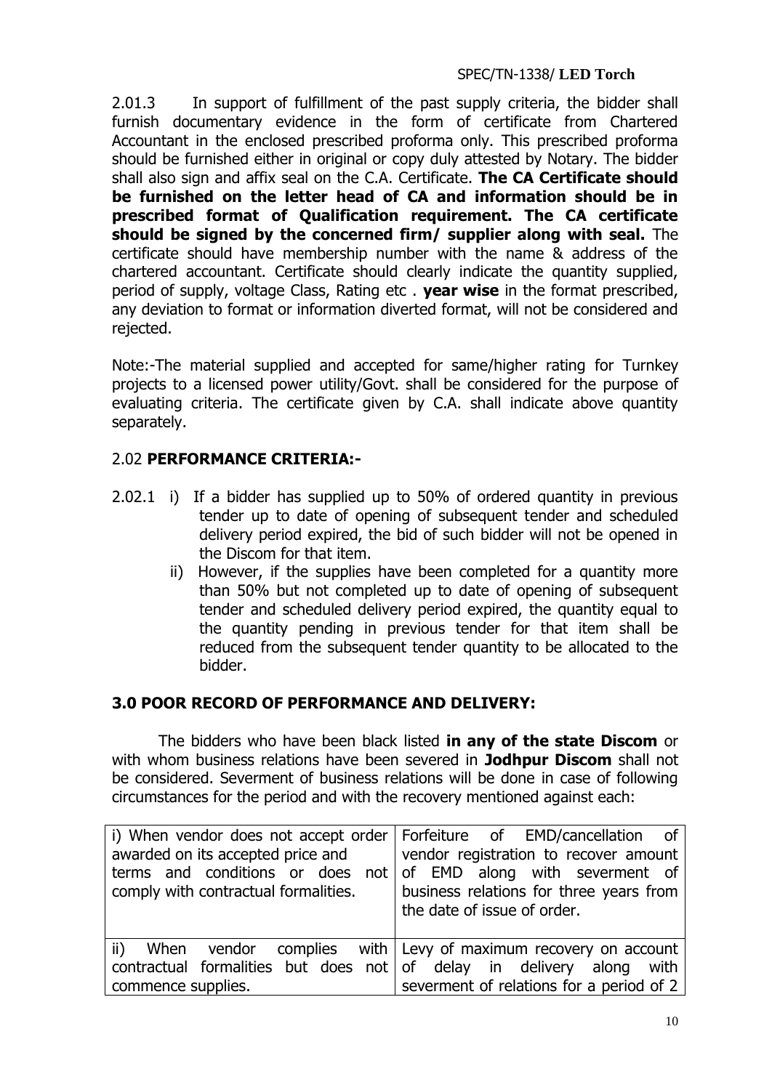#### SPEC/TN-1338/ **LED Torch**

2.01.3 In support of fulfillment of the past supply criteria, the bidder shall furnish documentary evidence in the form of certificate from Chartered Accountant in the enclosed prescribed proforma only. This prescribed proforma should be furnished either in original or copy duly attested by Notary. The bidder shall also sign and affix seal on the C.A. Certificate. **The CA Certificate should be furnished on the letter head of CA and information should be in prescribed format of Qualification requirement. The CA certificate should be signed by the concerned firm/ supplier along with seal.** The certificate should have membership number with the name & address of the chartered accountant. Certificate should clearly indicate the quantity supplied, period of supply, voltage Class, Rating etc . **year wise** in the format prescribed, any deviation to format or information diverted format, will not be considered and rejected.

Note:-The material supplied and accepted for same/higher rating for Turnkey projects to a licensed power utility/Govt. shall be considered for the purpose of evaluating criteria. The certificate given by C.A. shall indicate above quantity separately.

### 2.02 **PERFORMANCE CRITERIA:-**

- 2.02.1 i) If a bidder has supplied up to 50% of ordered quantity in previous tender up to date of opening of subsequent tender and scheduled delivery period expired, the bid of such bidder will not be opened in the Discom for that item.
	- ii) However, if the supplies have been completed for a quantity more than 50% but not completed up to date of opening of subsequent tender and scheduled delivery period expired, the quantity equal to the quantity pending in previous tender for that item shall be reduced from the subsequent tender quantity to be allocated to the bidder.

### **3.0 POOR RECORD OF PERFORMANCE AND DELIVERY:**

The bidders who have been black listed **in any of the state Discom** or with whom business relations have been severed in **Jodhpur Discom** shall not be considered. Severment of business relations will be done in case of following circumstances for the period and with the recovery mentioned against each:

|                                                                      | i) When vendor does not accept order   Forfeiture of EMD/cancellation of |
|----------------------------------------------------------------------|--------------------------------------------------------------------------|
| awarded on its accepted price and                                    | vendor registration to recover amount                                    |
| terms and conditions or does not of EMD along with severment of      |                                                                          |
| comply with contractual formalities.                                 | business relations for three years from                                  |
|                                                                      | the date of issue of order.                                              |
|                                                                      |                                                                          |
|                                                                      | ii) When vendor complies with Levy of maximum recovery on account        |
| contractual formalities but does not of delay in delivery along with |                                                                          |
| commence supplies.                                                   | severment of relations for a period of 2                                 |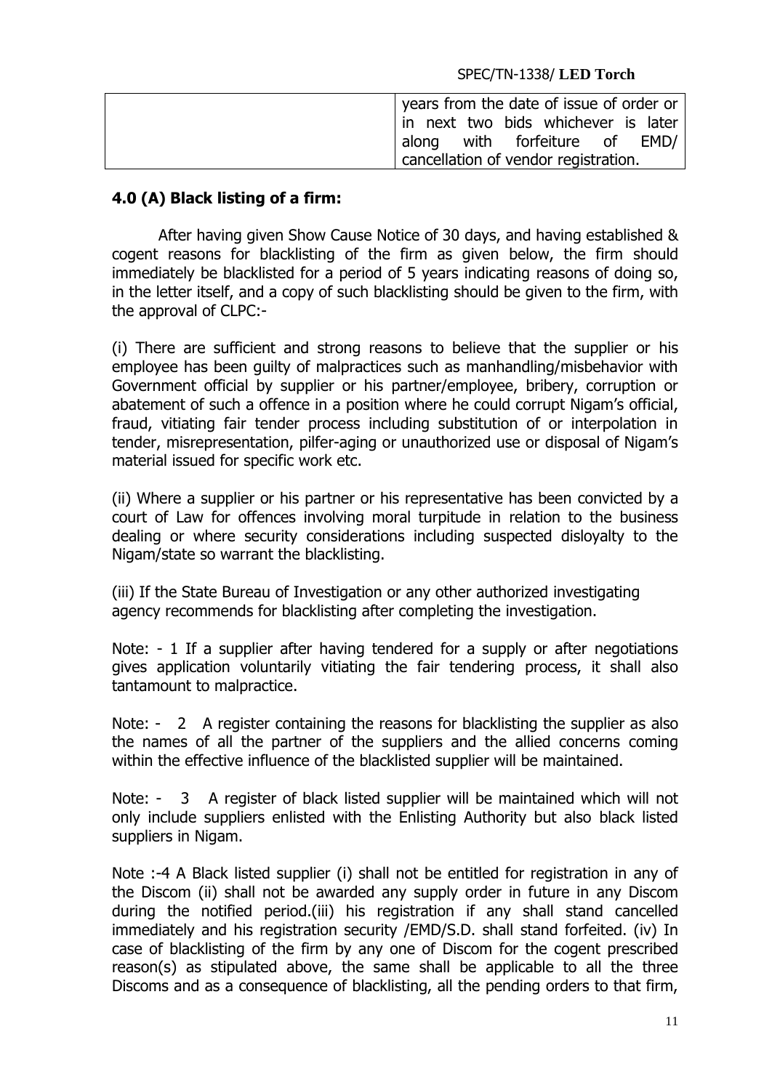| years from the date of issue of order or |
|------------------------------------------|
| in next two bids whichever is later      |
| along with forfeiture of EMD/            |
| cancellation of vendor registration.     |

## **4.0 (A) Black listing of a firm:**

After having given Show Cause Notice of 30 days, and having established & cogent reasons for blacklisting of the firm as given below, the firm should immediately be blacklisted for a period of 5 years indicating reasons of doing so, in the letter itself, and a copy of such blacklisting should be given to the firm, with the approval of CLPC:-

(i) There are sufficient and strong reasons to believe that the supplier or his employee has been guilty of malpractices such as manhandling/misbehavior with Government official by supplier or his partner/employee, bribery, corruption or abatement of such a offence in a position where he could corrupt Nigam's official, fraud, vitiating fair tender process including substitution of or interpolation in tender, misrepresentation, pilfer-aging or unauthorized use or disposal of Nigam's material issued for specific work etc.

(ii) Where a supplier or his partner or his representative has been convicted by a court of Law for offences involving moral turpitude in relation to the business dealing or where security considerations including suspected disloyalty to the Nigam/state so warrant the blacklisting.

(iii) If the State Bureau of Investigation or any other authorized investigating agency recommends for blacklisting after completing the investigation.

Note: - 1 If a supplier after having tendered for a supply or after negotiations gives application voluntarily vitiating the fair tendering process, it shall also tantamount to malpractice.

Note: - 2 A register containing the reasons for blacklisting the supplier as also the names of all the partner of the suppliers and the allied concerns coming within the effective influence of the blacklisted supplier will be maintained.

Note: - 3 A register of black listed supplier will be maintained which will not only include suppliers enlisted with the Enlisting Authority but also black listed suppliers in Nigam.

Note :-4 A Black listed supplier (i) shall not be entitled for registration in any of the Discom (ii) shall not be awarded any supply order in future in any Discom during the notified period.(iii) his registration if any shall stand cancelled immediately and his registration security /EMD/S.D. shall stand forfeited. (iv) In case of blacklisting of the firm by any one of Discom for the cogent prescribed reason(s) as stipulated above, the same shall be applicable to all the three Discoms and as a consequence of blacklisting, all the pending orders to that firm,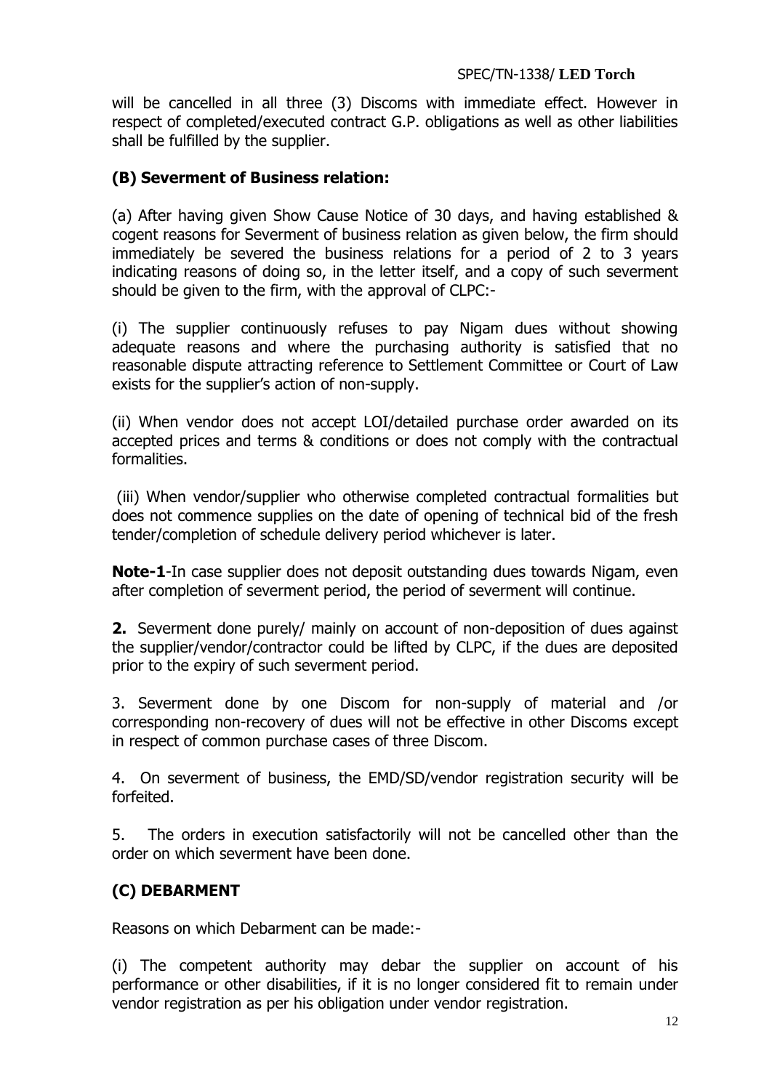will be cancelled in all three (3) Discoms with immediate effect. However in respect of completed/executed contract G.P. obligations as well as other liabilities shall be fulfilled by the supplier.

### **(B) Severment of Business relation:**

(a) After having given Show Cause Notice of 30 days, and having established & cogent reasons for Severment of business relation as given below, the firm should immediately be severed the business relations for a period of 2 to 3 years indicating reasons of doing so, in the letter itself, and a copy of such severment should be given to the firm, with the approval of CLPC:-

(i) The supplier continuously refuses to pay Nigam dues without showing adequate reasons and where the purchasing authority is satisfied that no reasonable dispute attracting reference to Settlement Committee or Court of Law exists for the supplier's action of non-supply.

(ii) When vendor does not accept LOI/detailed purchase order awarded on its accepted prices and terms & conditions or does not comply with the contractual formalities.

(iii) When vendor/supplier who otherwise completed contractual formalities but does not commence supplies on the date of opening of technical bid of the fresh tender/completion of schedule delivery period whichever is later.

**Note-1**-In case supplier does not deposit outstanding dues towards Nigam, even after completion of severment period, the period of severment will continue.

**2.** Severment done purely/ mainly on account of non-deposition of dues against the supplier/vendor/contractor could be lifted by CLPC, if the dues are deposited prior to the expiry of such severment period.

3. Severment done by one Discom for non-supply of material and /or corresponding non-recovery of dues will not be effective in other Discoms except in respect of common purchase cases of three Discom.

4. On severment of business, the EMD/SD/vendor registration security will be forfeited.

5. The orders in execution satisfactorily will not be cancelled other than the order on which severment have been done.

# **(C) DEBARMENT**

Reasons on which Debarment can be made:-

(i) The competent authority may debar the supplier on account of his performance or other disabilities, if it is no longer considered fit to remain under vendor registration as per his obligation under vendor registration.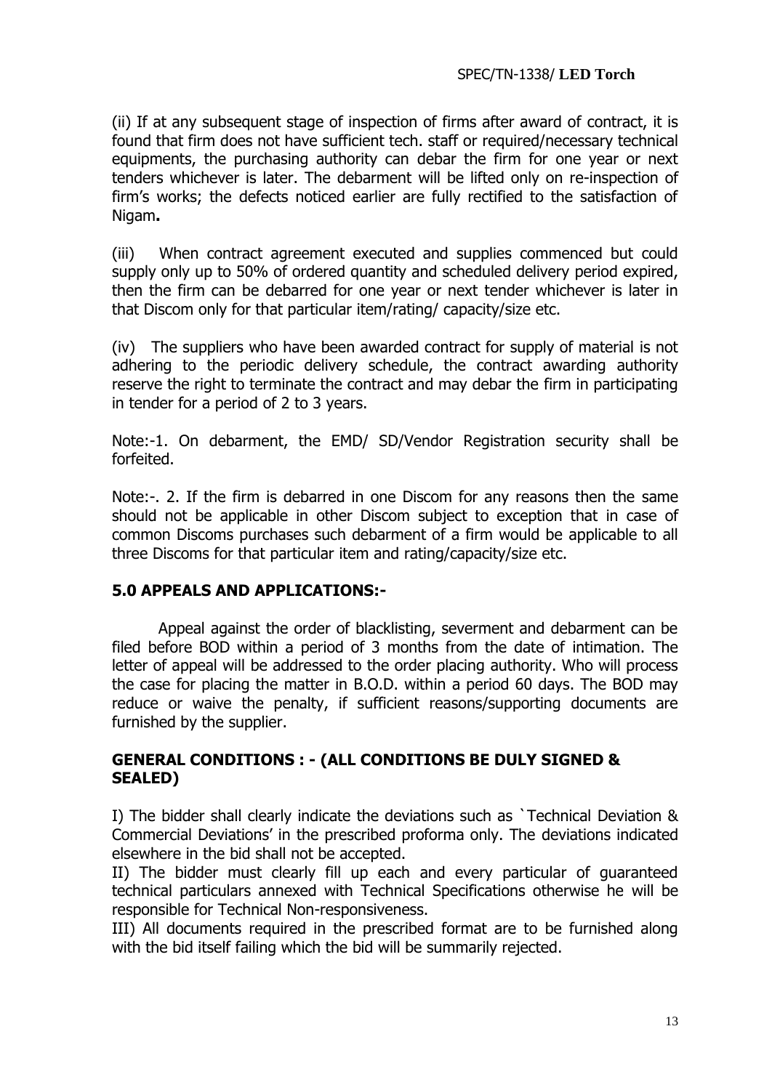(ii) If at any subsequent stage of inspection of firms after award of contract, it is found that firm does not have sufficient tech. staff or required/necessary technical equipments, the purchasing authority can debar the firm for one year or next tenders whichever is later. The debarment will be lifted only on re-inspection of firm's works; the defects noticed earlier are fully rectified to the satisfaction of Nigam**.**

(iii) When contract agreement executed and supplies commenced but could supply only up to 50% of ordered quantity and scheduled delivery period expired, then the firm can be debarred for one year or next tender whichever is later in that Discom only for that particular item/rating/ capacity/size etc.

(iv) The suppliers who have been awarded contract for supply of material is not adhering to the periodic delivery schedule, the contract awarding authority reserve the right to terminate the contract and may debar the firm in participating in tender for a period of 2 to 3 years.

Note:-1. On debarment, the EMD/ SD/Vendor Registration security shall be forfeited.

Note:-. 2. If the firm is debarred in one Discom for any reasons then the same should not be applicable in other Discom subject to exception that in case of common Discoms purchases such debarment of a firm would be applicable to all three Discoms for that particular item and rating/capacity/size etc.

### **5.0 APPEALS AND APPLICATIONS:-**

Appeal against the order of blacklisting, severment and debarment can be filed before BOD within a period of 3 months from the date of intimation. The letter of appeal will be addressed to the order placing authority. Who will process the case for placing the matter in B.O.D. within a period 60 days. The BOD may reduce or waive the penalty, if sufficient reasons/supporting documents are furnished by the supplier.

### **GENERAL CONDITIONS : - (ALL CONDITIONS BE DULY SIGNED & SEALED)**

I) The bidder shall clearly indicate the deviations such as `Technical Deviation & Commercial Deviations' in the prescribed proforma only. The deviations indicated elsewhere in the bid shall not be accepted.

II) The bidder must clearly fill up each and every particular of guaranteed technical particulars annexed with Technical Specifications otherwise he will be responsible for Technical Non-responsiveness.

III) All documents required in the prescribed format are to be furnished along with the bid itself failing which the bid will be summarily rejected.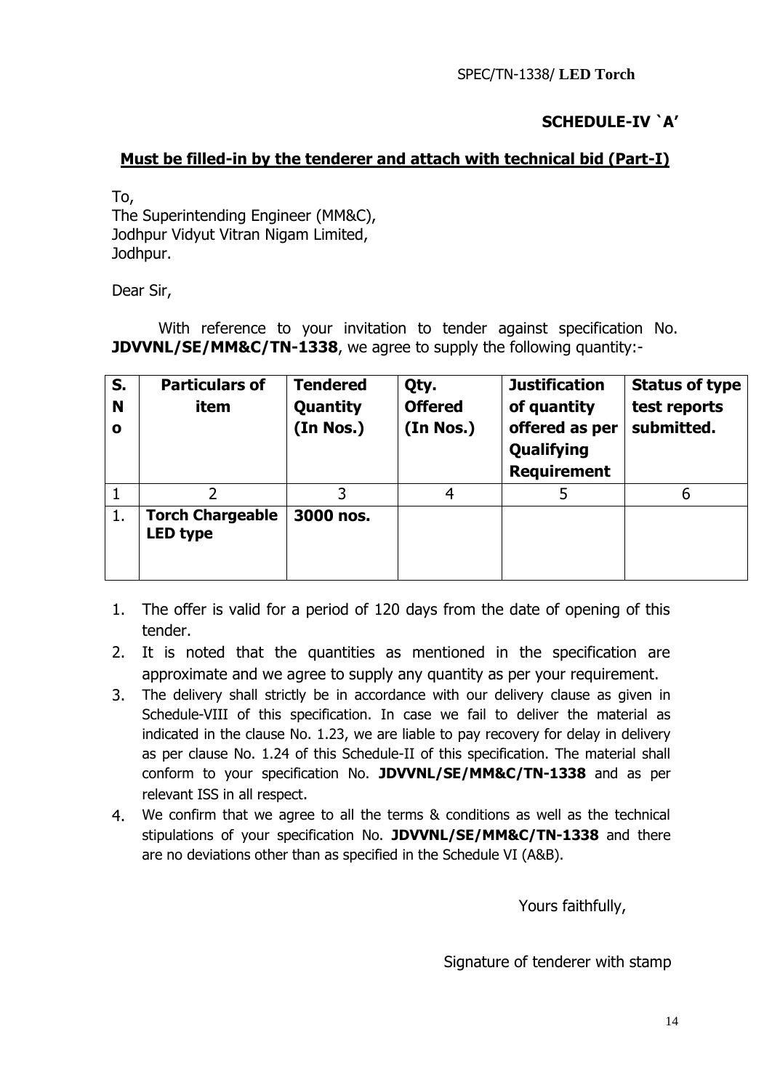# **SCHEDULE-IV `A'**

### **Must be filled-in by the tenderer and attach with technical bid (Part-I)**

To,

The Superintending Engineer (MM&C), Jodhpur Vidyut Vitran Nigam Limited, Jodhpur.

Dear Sir,

With reference to your invitation to tender against specification No. **JDVVNL/SE/MM&C/TN-1338**, we agree to supply the following quantity:-

| S.<br>N<br>$\mathbf{o}$ | <b>Particulars of</b><br>item       | <b>Tendered</b><br>Quantity<br>(In Nos.) | Qty.<br><b>Offered</b><br>(In Nos.) | <b>Justification</b><br>of quantity<br>offered as per<br>Qualifying<br><b>Requirement</b> | <b>Status of type</b><br>test reports<br>submitted. |
|-------------------------|-------------------------------------|------------------------------------------|-------------------------------------|-------------------------------------------------------------------------------------------|-----------------------------------------------------|
|                         |                                     |                                          | 4                                   |                                                                                           | 6                                                   |
| 1.                      | <b>Torch Chargeable</b><br>LED type | 3000 nos.                                |                                     |                                                                                           |                                                     |

- 1. The offer is valid for a period of 120 days from the date of opening of this tender.
- 2. It is noted that the quantities as mentioned in the specification are approximate and we agree to supply any quantity as per your requirement.
- 3. The delivery shall strictly be in accordance with our delivery clause as given in Schedule-VIII of this specification. In case we fail to deliver the material as indicated in the clause No. 1.23, we are liable to pay recovery for delay in delivery as per clause No. 1.24 of this Schedule-II of this specification. The material shall conform to your specification No. **JDVVNL/SE/MM&C/TN-1338** and as per relevant ISS in all respect.
- 4. We confirm that we agree to all the terms & conditions as well as the technical stipulations of your specification No. **JDVVNL/SE/MM&C/TN-1338** and there are no deviations other than as specified in the Schedule VI (A&B).

Yours faithfully,

Signature of tenderer with stamp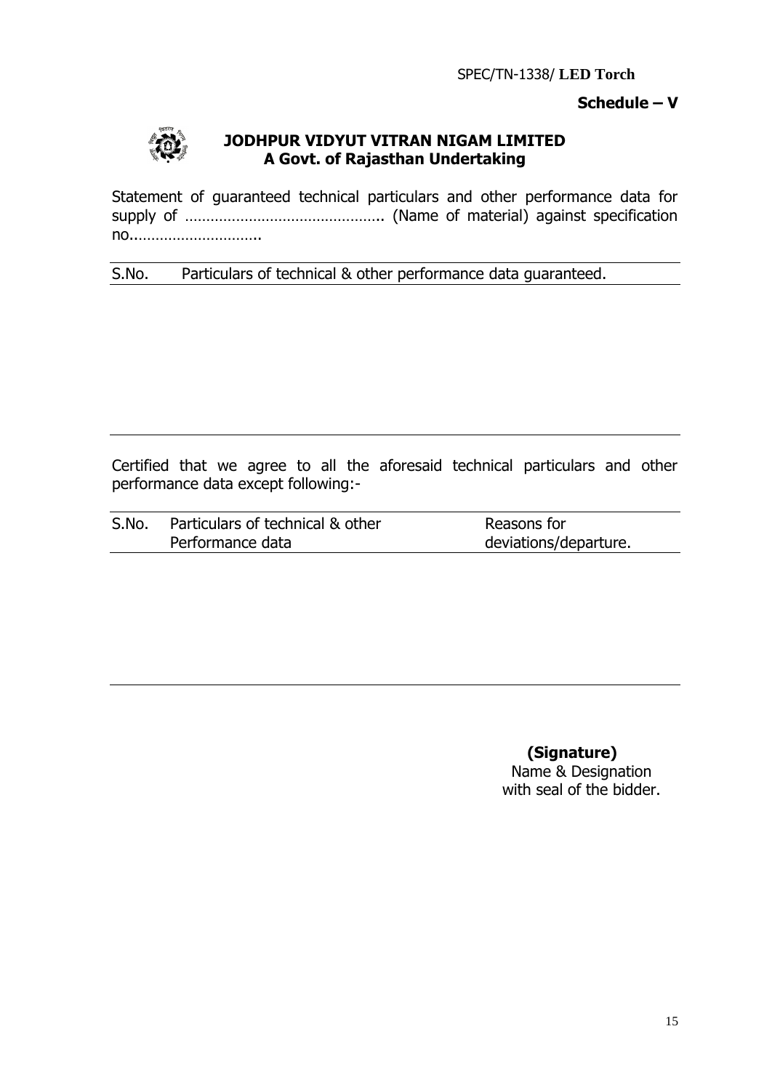### **Schedule – V**



### **JODHPUR VIDYUT VITRAN NIGAM LIMITED A Govt. of Rajasthan Undertaking**

Statement of guaranteed technical particulars and other performance data for supply of ……………………………………….. (Name of material) against specification no..………………………..

S.No. Particulars of technical & other performance data guaranteed.

Certified that we agree to all the aforesaid technical particulars and other performance data except following:-

| S.No. | Particulars of technical & other | Reasons for           |
|-------|----------------------------------|-----------------------|
|       | Performance data                 | deviations/departure. |

**(Signature)**

Name & Designation with seal of the bidder.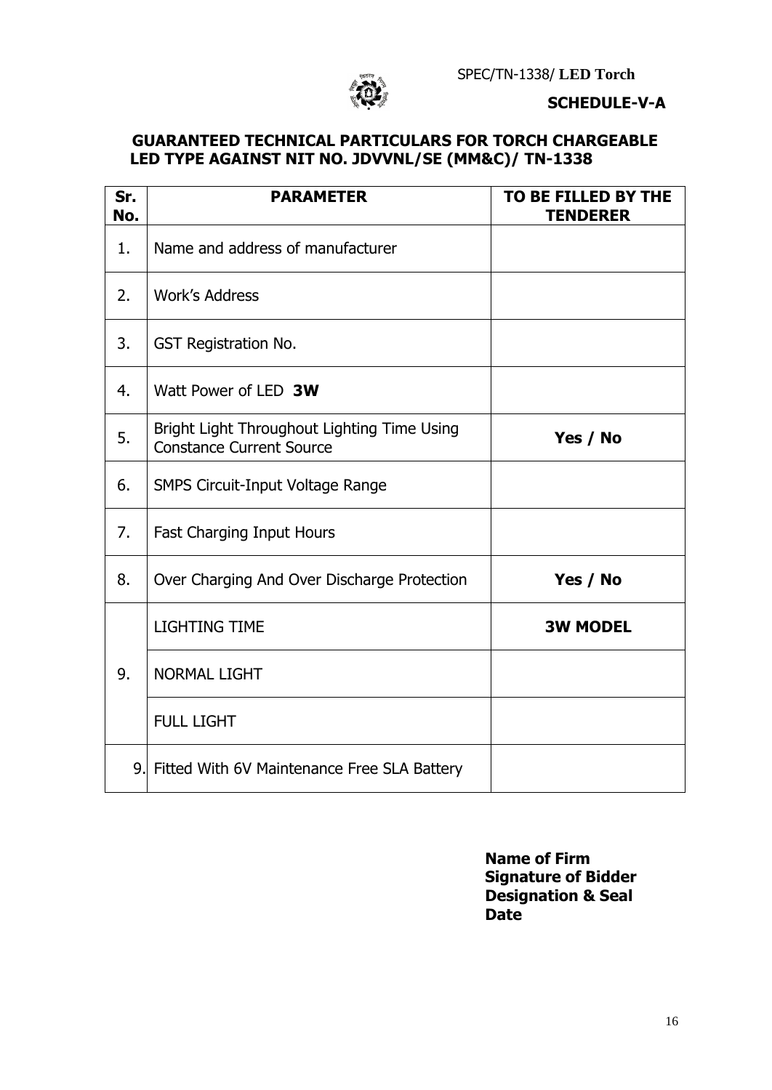

#### **SCHEDULE-V-A**

### **GUARANTEED TECHNICAL PARTICULARS FOR TORCH CHARGEABLE LED TYPE AGAINST NIT NO. JDVVNL/SE (MM&C)/ TN-1338**

| Sr.<br>No. | <b>PARAMETER</b>                                                               | TO BE FILLED BY THE<br><b>TENDERER</b> |
|------------|--------------------------------------------------------------------------------|----------------------------------------|
| 1.         | Name and address of manufacturer                                               |                                        |
| 2.         | <b>Work's Address</b>                                                          |                                        |
| 3.         | <b>GST Registration No.</b>                                                    |                                        |
| 4.         | Watt Power of LED 3W                                                           |                                        |
| 5.         | Bright Light Throughout Lighting Time Using<br><b>Constance Current Source</b> | Yes / No                               |
| 6.         | <b>SMPS Circuit-Input Voltage Range</b>                                        |                                        |
| 7.         | Fast Charging Input Hours                                                      |                                        |
| 8.         | Over Charging And Over Discharge Protection                                    | Yes / No                               |
|            | <b>LIGHTING TIME</b>                                                           | <b>3W MODEL</b>                        |
| 9.         | <b>NORMAL LIGHT</b>                                                            |                                        |
|            | <b>FULL LIGHT</b>                                                              |                                        |
|            | 9. Fitted With 6V Maintenance Free SLA Battery                                 |                                        |

**Name of Firm Signature of Bidder Designation & Seal Date**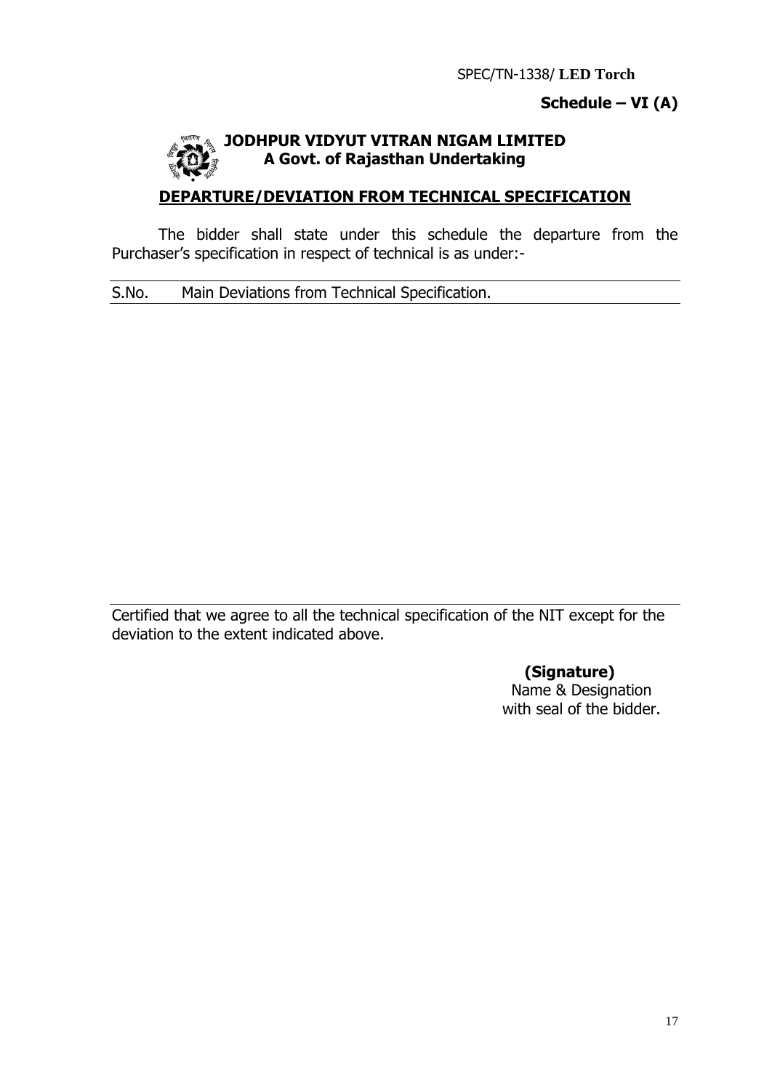## **Schedule – VI (A)**

# **TODHPUR VIDYUT VITRAN NIGAM LIMITED A Govt. of Rajasthan Undertaking**

# **DEPARTURE/DEVIATION FROM TECHNICAL SPECIFICATION**

The bidder shall state under this schedule the departure from the Purchaser's specification in respect of technical is as under:-

S.No. Main Deviations from Technical Specification.

Certified that we agree to all the technical specification of the NIT except for the deviation to the extent indicated above.

> **(Signature)** Name & Designation with seal of the bidder.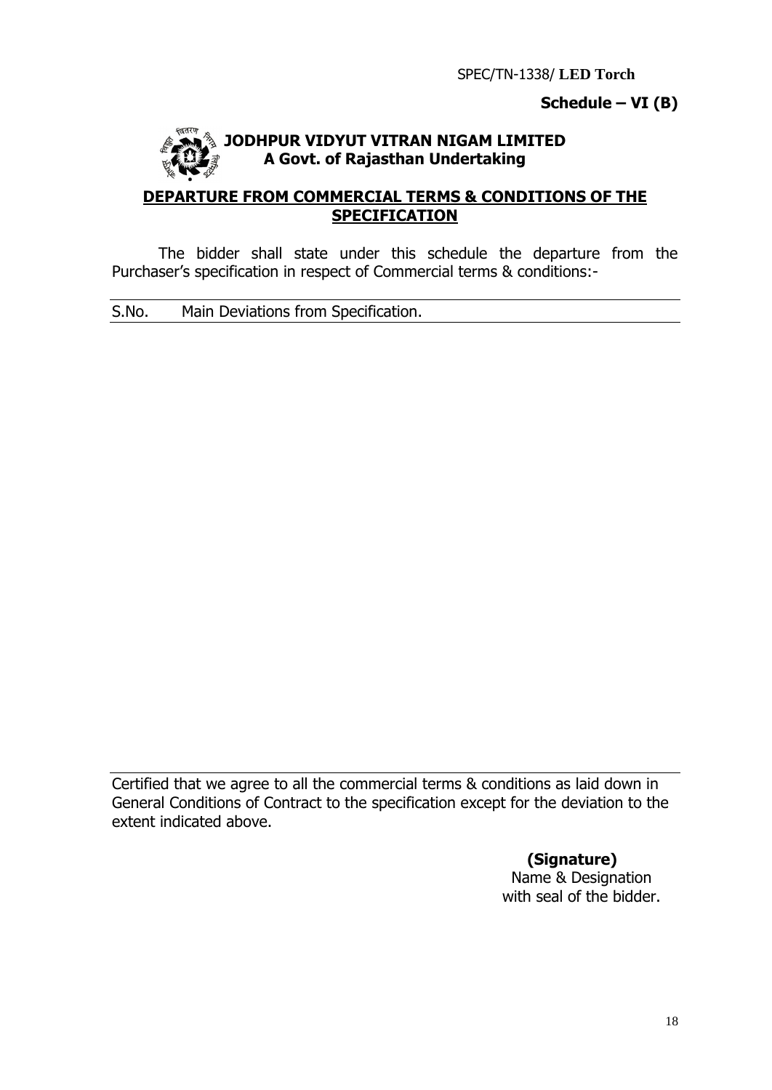### **Schedule – VI (B)**



### **JODHPUR VIDYUT VITRAN NIGAM LIMITED A Govt. of Rajasthan Undertaking**

### **DEPARTURE FROM COMMERCIAL TERMS & CONDITIONS OF THE SPECIFICATION**

The bidder shall state under this schedule the departure from the Purchaser's specification in respect of Commercial terms & conditions:-

S.No. Main Deviations from Specification.

Certified that we agree to all the commercial terms & conditions as laid down in General Conditions of Contract to the specification except for the deviation to the extent indicated above.

**(Signature)**

Name & Designation with seal of the bidder.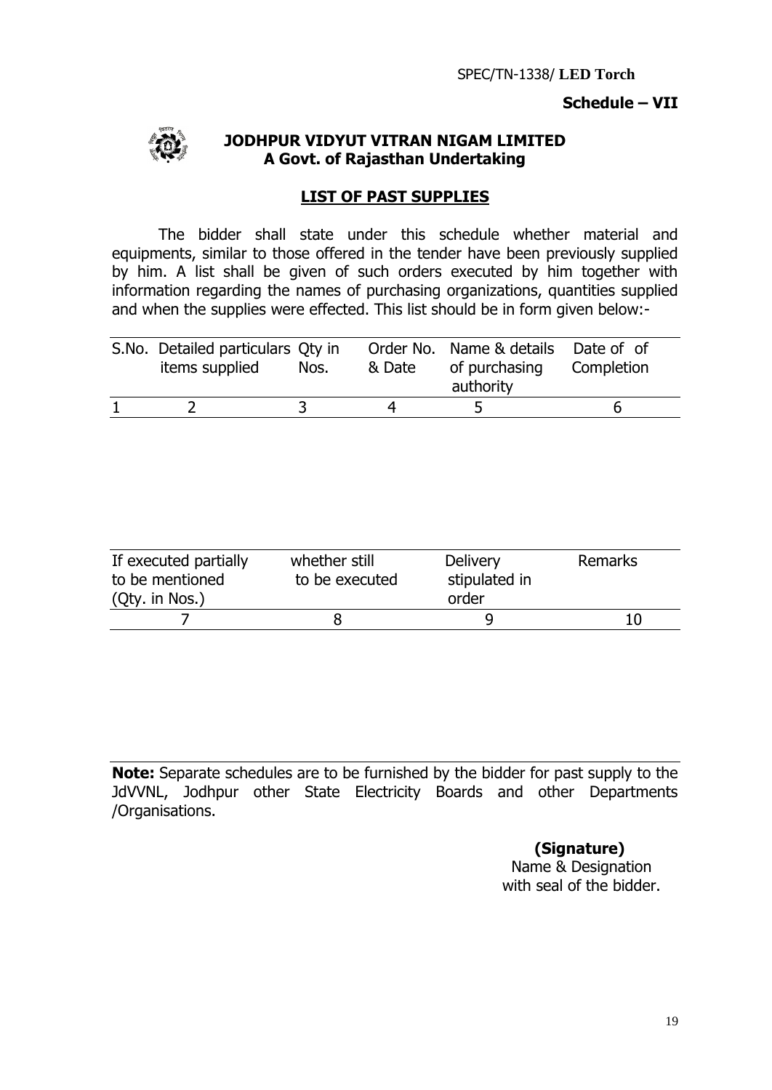### **Schedule – VII**



#### **JODHPUR VIDYUT VITRAN NIGAM LIMITED A Govt. of Rajasthan Undertaking**

#### **LIST OF PAST SUPPLIES**

The bidder shall state under this schedule whether material and equipments, similar to those offered in the tender have been previously supplied by him. A list shall be given of such orders executed by him together with information regarding the names of purchasing organizations, quantities supplied and when the supplies were effected. This list should be in form given below:-

| S.No. Detailed particulars Qty in<br>items supplied | Nos. | & Date | Order No. Name & details Date of of<br>of purchasing Completion<br>authority |  |
|-----------------------------------------------------|------|--------|------------------------------------------------------------------------------|--|
|                                                     |      |        |                                                                              |  |

| If executed partially<br>to be mentioned<br>(Qty. in Nos.) | whether still<br>to be executed | <b>Delivery</b><br>stipulated in<br>order | Remarks |
|------------------------------------------------------------|---------------------------------|-------------------------------------------|---------|
|                                                            |                                 |                                           |         |

**Note:** Separate schedules are to be furnished by the bidder for past supply to the JdVVNL, Jodhpur other State Electricity Boards and other Departments /Organisations.

### **(Signature)**

Name & Designation with seal of the bidder.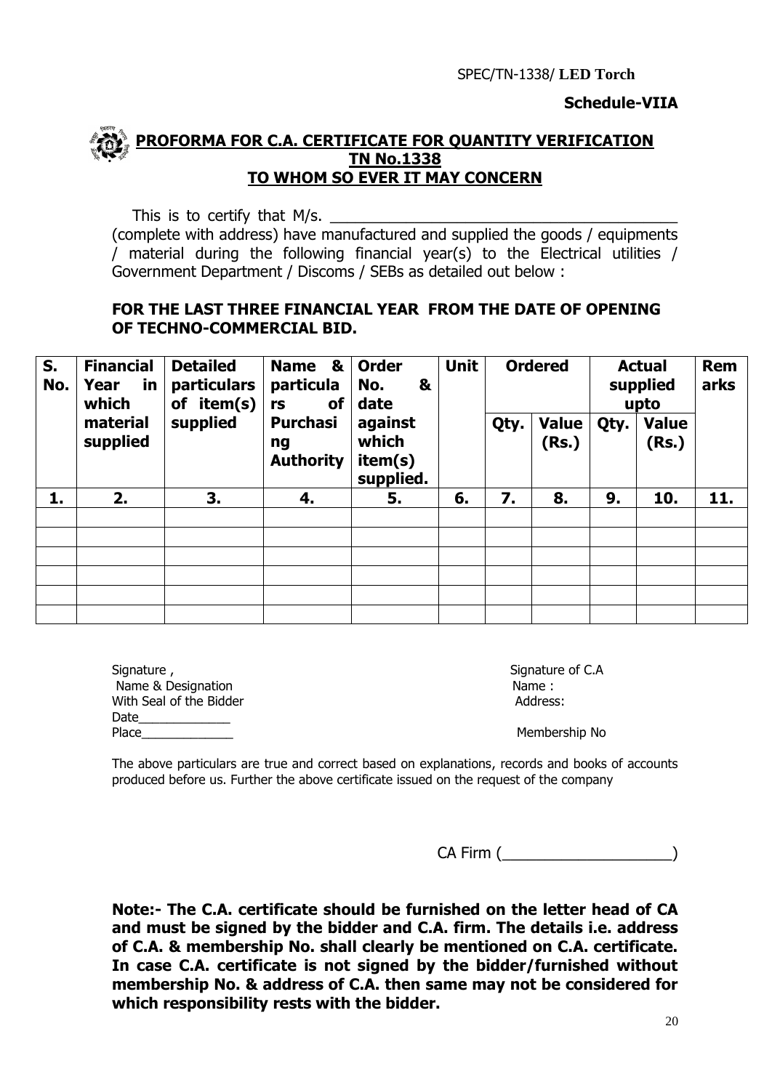

#### **PROFORMA FOR C.A. CERTIFICATE FOR QUANTITY VERIFICATION TN No.1338 TO WHOM SO EVER IT MAY CONCERN**

This is to certify that  $M/s$ .

(complete with address) have manufactured and supplied the goods / equipments / material during the following financial year(s) to the Electrical utilities / Government Department / Discoms / SEBs as detailed out below :

#### **FOR THE LAST THREE FINANCIAL YEAR FROM THE DATE OF OPENING OF TECHNO-COMMERCIAL BID.**

| S.<br>No. | <b>Financial</b><br>Year<br><u>in</u><br>which | <b>Detailed</b><br><b>particulars</b><br>item(s)<br>οf | &<br><b>Name</b><br>particula<br><b>of</b><br>rs | <b>Order</b><br>No.<br>&<br>date         | <b>Unit</b> |      | <b>Ordered</b>        |      | <b>Actual</b><br>supplied<br>upto | <b>Rem</b><br>arks |
|-----------|------------------------------------------------|--------------------------------------------------------|--------------------------------------------------|------------------------------------------|-------------|------|-----------------------|------|-----------------------------------|--------------------|
|           | material<br>supplied                           | supplied                                               | <b>Purchasi</b><br>ng<br><b>Authority</b>        | against<br>which<br>item(s)<br>supplied. |             | Qty. | <b>Value</b><br>(Rs.) | Qty. | <b>Value</b><br>(Rs.)             |                    |
| 1.        | 2.                                             | 3.                                                     | 4.                                               | 5.                                       | 6.          | 7.   | 8.                    | 9.   | 10.                               | 11.                |
|           |                                                |                                                        |                                                  |                                          |             |      |                       |      |                                   |                    |
|           |                                                |                                                        |                                                  |                                          |             |      |                       |      |                                   |                    |
|           |                                                |                                                        |                                                  |                                          |             |      |                       |      |                                   |                    |
|           |                                                |                                                        |                                                  |                                          |             |      |                       |      |                                   |                    |
|           |                                                |                                                        |                                                  |                                          |             |      |                       |      |                                   |                    |
|           |                                                |                                                        |                                                  |                                          |             |      |                       |      |                                   |                    |

| Signature,              | Signature |
|-------------------------|-----------|
| Name & Designation      | Name:     |
| With Seal of the Bidder | Address:  |
| Date                    |           |
| Place                   | Members   |

Signature of C.A

Membership No

The above particulars are true and correct based on explanations, records and books of accounts produced before us. Further the above certificate issued on the request of the company

CA Firm (\_\_\_\_\_\_\_\_\_\_\_\_\_\_\_\_\_\_\_\_)

**Note:- The C.A. certificate should be furnished on the letter head of CA and must be signed by the bidder and C.A. firm. The details i.e. address of C.A. & membership No. shall clearly be mentioned on C.A. certificate. In case C.A. certificate is not signed by the bidder/furnished without membership No. & address of C.A. then same may not be considered for which responsibility rests with the bidder.**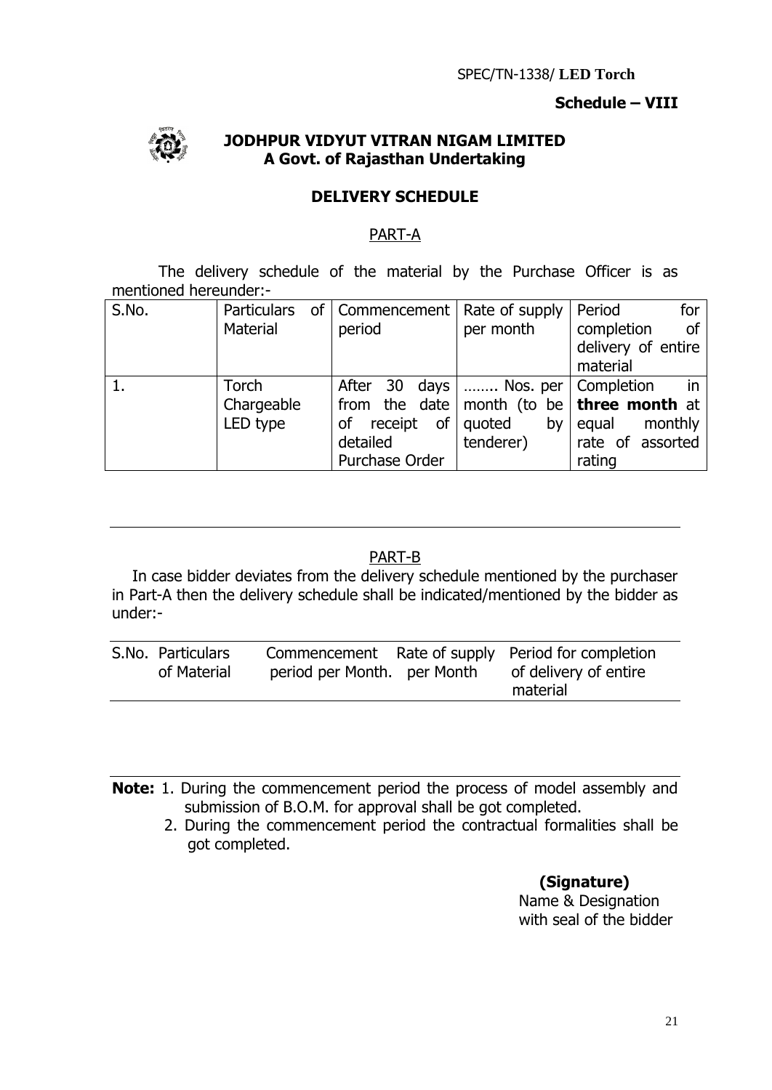### **Schedule – VIII**



#### **JODHPUR VIDYUT VITRAN NIGAM LIMITED A Govt. of Rajasthan Undertaking**

### **DELIVERY SCHEDULE**

### PART-A

The delivery schedule of the material by the Purchase Officer is as mentioned hereunder:-

| S.No. | <b>Particulars</b> | of   Commencement   Rate of supply     |           | Period<br>for                                    |
|-------|--------------------|----------------------------------------|-----------|--------------------------------------------------|
|       | Material           | period                                 | per month | of<br>completion                                 |
|       |                    |                                        |           | delivery of entire                               |
|       |                    |                                        |           | material                                         |
|       | Torch              | After 30 days    Nos. per   Completion |           | in                                               |
|       | Chargeable         |                                        |           | from the date month (to be <b>three month</b> at |
|       | LED type           | of receipt of quoted                   | by        | monthly<br>equal                                 |
|       |                    | detailed                               | tenderer) | rate of assorted                                 |
|       |                    | Purchase Order                         |           | rating                                           |

### PART-B

In case bidder deviates from the delivery schedule mentioned by the purchaser in Part-A then the delivery schedule shall be indicated/mentioned by the bidder as under:-

| S.No. Particulars<br>of Material | period per Month. per Month | Commencement Rate of supply Period for completion<br>of delivery of entire |
|----------------------------------|-----------------------------|----------------------------------------------------------------------------|
|                                  |                             | material                                                                   |

**Note:** 1. During the commencement period the process of model assembly and submission of B.O.M. for approval shall be got completed.

 2. During the commencement period the contractual formalities shall be got completed.

### **(Signature)**

 Name & Designation with seal of the bidder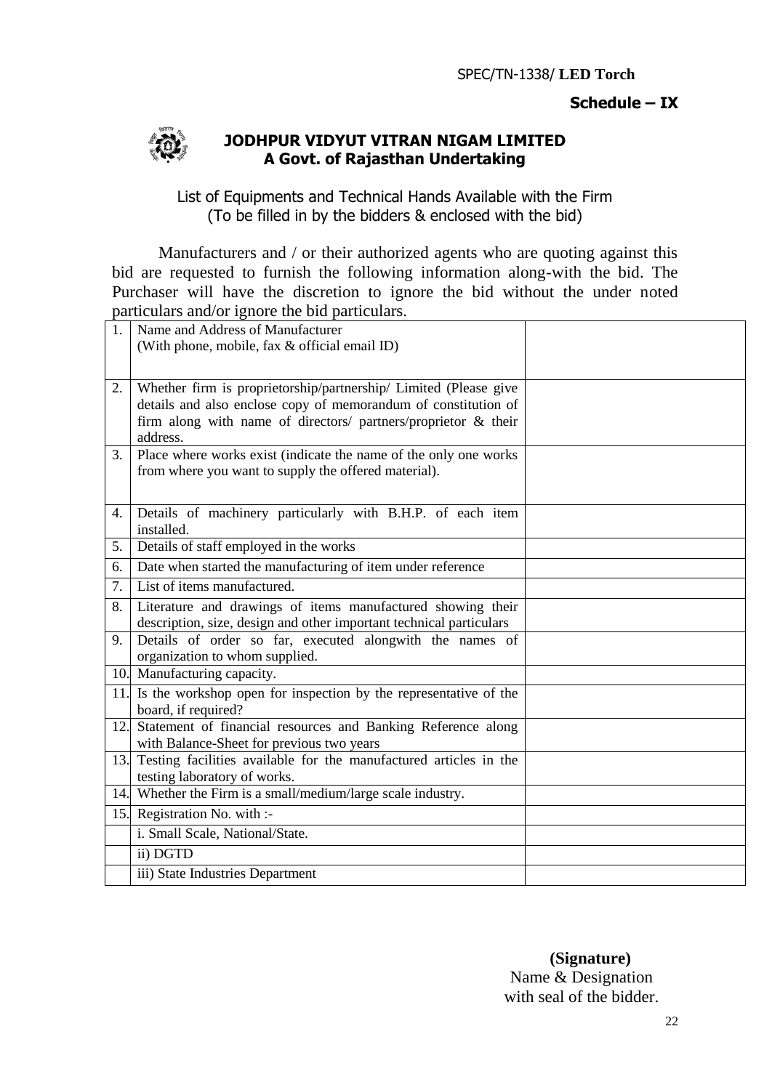### **Schedule – IX**



### **JODHPUR VIDYUT VITRAN NIGAM LIMITED A Govt. of Rajasthan Undertaking**

List of Equipments and Technical Hands Available with the Firm (To be filled in by the bidders & enclosed with the bid)

Manufacturers and / or their authorized agents who are quoting against this bid are requested to furnish the following information along-with the bid. The Purchaser will have the discretion to ignore the bid without the under noted particulars and/or ignore the bid particulars.

| 1.  | Name and Address of Manufacturer                                                                  |  |
|-----|---------------------------------------------------------------------------------------------------|--|
|     | (With phone, mobile, fax & official email ID)                                                     |  |
|     |                                                                                                   |  |
| 2.  | Whether firm is proprietorship/partnership/ Limited (Please give                                  |  |
|     | details and also enclose copy of memorandum of constitution of                                    |  |
|     | firm along with name of directors/ partners/proprietor & their<br>address.                        |  |
| 3.  | Place where works exist (indicate the name of the only one works                                  |  |
|     | from where you want to supply the offered material).                                              |  |
|     |                                                                                                   |  |
| 4.  | Details of machinery particularly with B.H.P. of each item                                        |  |
|     | installed.                                                                                        |  |
| 5.  | Details of staff employed in the works                                                            |  |
| 6.  | Date when started the manufacturing of item under reference                                       |  |
| 7.  | List of items manufactured.                                                                       |  |
| 8.  | Literature and drawings of items manufactured showing their                                       |  |
|     | description, size, design and other important technical particulars                               |  |
| 9.  | Details of order so far, executed alongwith the names of<br>organization to whom supplied.        |  |
|     | 10. Manufacturing capacity.                                                                       |  |
| 11. | Is the workshop open for inspection by the representative of the                                  |  |
|     | board, if required?                                                                               |  |
| 12. | Statement of financial resources and Banking Reference along                                      |  |
|     | with Balance-Sheet for previous two years                                                         |  |
| 13. | Testing facilities available for the manufactured articles in the<br>testing laboratory of works. |  |
|     | 14. Whether the Firm is a small/medium/large scale industry.                                      |  |
| 15. | Registration No. with :-                                                                          |  |
|     | i. Small Scale, National/State.                                                                   |  |
|     | ii) DGTD                                                                                          |  |
|     | iii) State Industries Department                                                                  |  |

 **(Signature)** Name & Designation with seal of the bidder.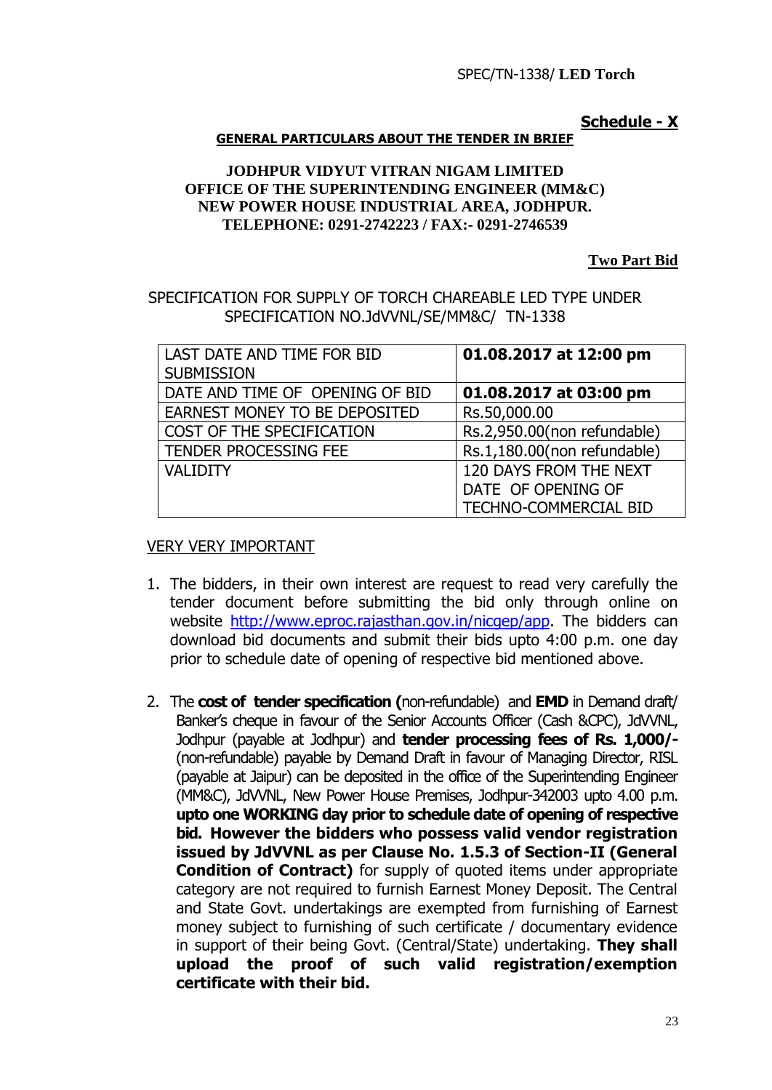#### **Schedule - X**

#### **GENERAL PARTICULARS ABOUT THE TENDER IN BRIEF**

#### **JODHPUR VIDYUT VITRAN NIGAM LIMITED OFFICE OF THE SUPERINTENDING ENGINEER (MM&C) NEW POWER HOUSE INDUSTRIAL AREA, JODHPUR. TELEPHONE: 0291-2742223 / FAX:- 0291-2746539**

**Two Part Bid**

SPECIFICATION FOR SUPPLY OF TORCH CHAREABLE LED TYPE UNDER SPECIFICATION NO.JdVVNL/SE/MM&C/ TN-1338

| LAST DATE AND TIME FOR BID<br><b>SUBMISSION</b> | 01.08.2017 at 12:00 pm       |
|-------------------------------------------------|------------------------------|
| DATE AND TIME OF OPENING OF BID                 | 01.08.2017 at 03:00 pm       |
| EARNEST MONEY TO BE DEPOSITED                   | Rs.50,000.00                 |
| COST OF THE SPECIFICATION                       | Rs.2,950.00(non refundable)  |
| TENDER PROCESSING FEE                           | Rs.1,180.00(non refundable)  |
| <b>VALIDITY</b>                                 | 120 DAYS FROM THE NEXT       |
|                                                 | DATE OF OPENING OF           |
|                                                 | <b>TECHNO-COMMERCIAL BID</b> |

#### VERY VERY IMPORTANT

- 1. The bidders, in their own interest are request to read very carefully the tender document before submitting the bid only through online on website [http://www.eproc.rajasthan.gov.in/nicgep/app.](http://www.eproc.rajasthan.gov.in/nicgep/app) The bidders can download bid documents and submit their bids upto 4:00 p.m. one day prior to schedule date of opening of respective bid mentioned above.
- 2. The **cost of tender specification (**non-refundable) and **EMD** in Demand draft/ Banker's cheque in favour of the Senior Accounts Officer (Cash &CPC), JdVVNL, Jodhpur (payable at Jodhpur) and **tender processing fees of Rs. 1,000/-** (non-refundable) payable by Demand Draft in favour of Managing Director, RISL (payable at Jaipur) can be deposited in the office of the Superintending Engineer (MM&C), JdVVNL, New Power House Premises, Jodhpur-342003 upto 4.00 p.m. **upto one WORKING day prior to schedule date of opening of respective bid. However the bidders who possess valid vendor registration issued by JdVVNL as per Clause No. 1.5.3 of Section-II (General Condition of Contract)** for supply of quoted items under appropriate category are not required to furnish Earnest Money Deposit. The Central and State Govt. undertakings are exempted from furnishing of Earnest money subject to furnishing of such certificate / documentary evidence in support of their being Govt. (Central/State) undertaking. **They shall upload the proof of such valid registration/exemption certificate with their bid.**